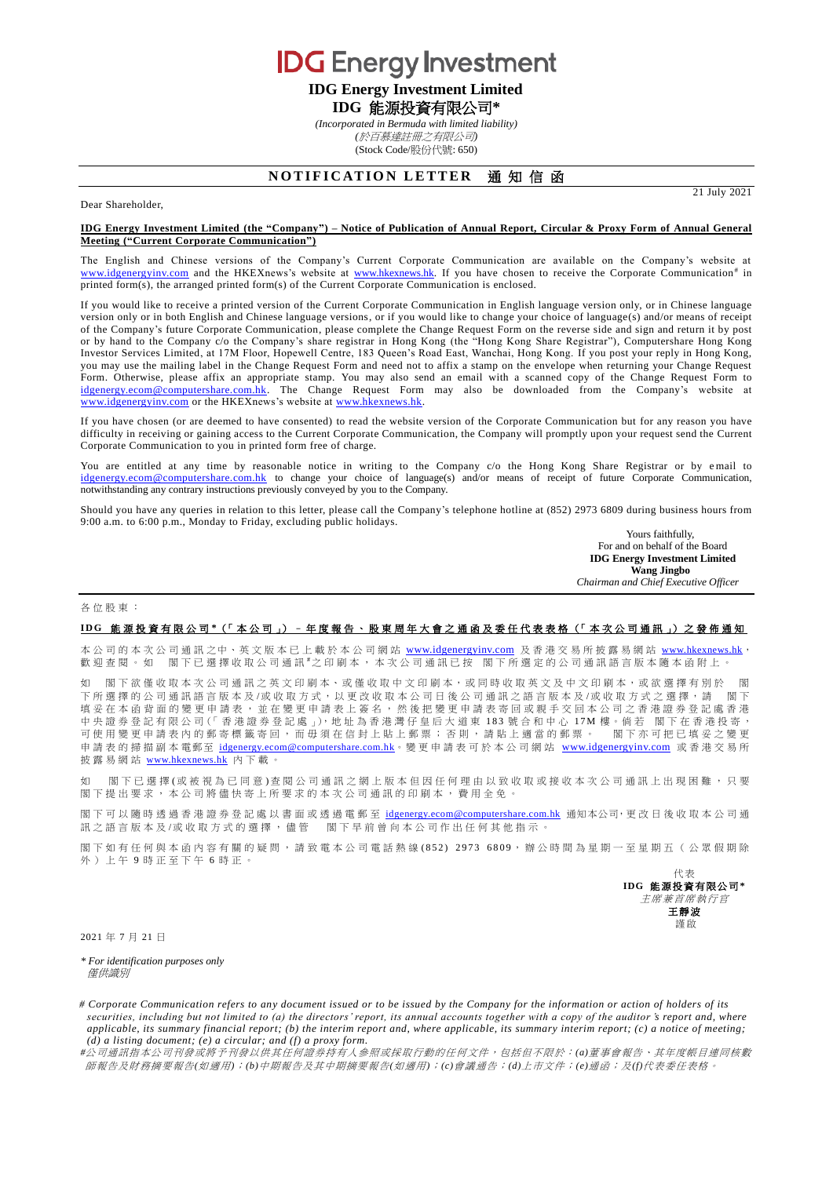**IDG** Energy Investment **IDG Energy Investment Limited**

**IDG** 能源投資有限公司**\***

*(Incorporated in Bermuda with limited liability) (*於百慕達註冊之有限公司*)*

(Stock Code/股份代號: 650)

# **NOTIFICATION LETTER 通知信函**

21 July 2021

## Dear Shareholder,

#### **IDG Energy Investment Limited (the "Company") – Notice of Publication of Annual Report, Circular & Proxy Form of Annual General Meeting ("Current Corporate Communication")**

The English and Chinese versions of the Company's Current Corporate Communication are available on the Company's website at [www.idgenergyinv.com](http://www.idgenergyinv.com/) and the HKEXnews's website at [www.hkexnews.hk.](http://www.hkexnews.hk/) If you have chosen to receive the Corporate Communication<sup>#</sup> in printed form(s), the arranged printed form(s) of the Current Corporate Communication is enclosed.

If you would like to receive a printed version of the Current Corporate Communication in English language version only, or in Chinese language version only or in both English and Chinese language versions, or if you would like to change your choice of language(s) and/or means of receipt of the Company's future Corporate Communication, please complete the Change Request Form on the reverse side and sign and return it by post or by hand to the Company c/o the Company's share registrar in Hong Kong (the "Hong Kong Share Registrar"), Computershare Hong Kong Investor Services Limited, at 17M Floor, Hopewell Centre, 183 Queen's Road East, Wanchai, Hong Kong. If you post your reply in Hong Kong, you may use the mailing label in the Change Request Form and need not to affix a stamp on the envelope when returning your Change Request Form. Otherwise, please affix an appropriate stamp. You may also send an email with a scanned copy of the Change Request Form to [idgenergy.ecom@computershare.com.hk.](mailto:idgenergy.ecom@computershare.com.hk) The Change Request Form may also be downloaded from the Company's website at [www.idgenergyinv.com](http://www.idgenergyinv.com/) or the HKEXnews's website at [www.hkexnews.hk.](http://www.hkexnews.hk/)

If you have chosen (or are deemed to have consented) to read the website version of the Corporate Communication but for any reason you have difficulty in receiving or gaining access to the Current Corporate Communication, the Company will promptly upon your request send the Current Corporate Communication to you in printed form free of charge.

You are entitled at any time by reasonable notice in writing to the Company c/o the Hong Kong Share Registrar or by email to [idgenergy.ecom@computershare.com.hk](mailto:idgenergy.ecom@computershare.com.hk) to change your choice of language(s) and/or means of receipt of future Corporate Communication, notwithstanding any contrary instructions previously conveyed by you to the Company.

Should you have any queries in relation to this letter, please call the Company's telephone hotline at (852) 2973 6809 during business hours from 9:00 a.m. to 6:00 p.m., Monday to Friday, excluding public holidays.

Yours faithfully, For and on behalf of the Board **IDG Energy Investment Limited Wang Jingbo** *Chairman and Chief Executive Officer*

#### 各位股東 :

### **I D G** 能 源 投 資 有 限 公 司 **\***(「 本 公 司 」) – 年度報告、 股 東 周 年 大 會 之通函及委任代表表格 (「 本次公司通訊 」) 之 發 佈 通 知

本公司的本次公司通訊之中、英文版本已上載於本公司網站 [www.idgenergyinv.com](http://www.idgenergyinv.com/) 及香港交易所披露易網站 [www.hkexnews.hk](http://www.hkexnews.hk/) 歡迎查閱。如 閣下已選擇收取公司通訊#之印刷本,本次公司通訊已按 閣下所選定的公司通訊語言版本隨本函附上。

如 閣下欲僅收取本次公司通訊之英文印刷本、或僅收取中文印刷本,或同時收取英文及中文印刷本,或欲選擇有別於 閣 下所選擇的公司通訊語言版本 及 /或 收 取 方 式 , 以 更 改 收 取 本公司日後 公司通訊之語言版本及 /或收取方式 之選擇 , 請 閣 下 填妥在本函背面的變更申請表,並在變更申請表上簽名,然後把變更申請表寄回或親手交回本公司之香港證券登記處香港 中 央 證 券 登 記 有 限 公 司 (「 香 港 證 券 登 記 處 」), 地 址 為 香 港 灣 仔 皇 后 大 道 東 183 號 合 和 中 心 17M 樓 。倘 若 閣 下 在 香 港 投 寄 ,<br>可 使 用 變 更 申 請 表 内 的 郵 寄 標 籤 寄 回 , 而 毌 須 在 信 封 上 貼 一 郵 票 ; 否 則 , 請 貼 上 適 當 的 郵 票 。 閣 下 亦 可 把 已 填 妥 之 變 更 可使用變更申請表內的郵寄標籤寄回,而毋須在信封上貼上郵票;否則,請貼上適當的郵票。 申請表的掃描副本電郵至 [idgenergy.ecom@computershare.com.hk](mailto:idgenergy.ecom@computershare.com.hk)。變更申請表可於本公司網站 [www.idgenergyinv.com](http://www.idgenergyinv.com/) 或香港交易所 披露易網站 [www.hkexnews.hk](http://www.hkexnews.hk/) 內 下載。

如 閣下已 選 擇 (或 被 視 為 已 同 意 ) 查 閱 公 司 通 訊 之 網 上 版 本 但 因 任 何 理 由 以 致 收 取 或 接 收 本 次 公 司 通 訊 上 出 現 困 難 , 只 要 閣 下 提出要求, 本公司將儘 快寄上所要求的 本次公司通訊 的印刷本,費用全免。

閣下可以隨時透過香港證券登記處以書面或透過電郵至 [idgenergy.ecom@computershare.com.hk](mailto:idgenergy.ecom@computershare.com.hk) 通知本公司,更改日後收取本公司通 訊之語言版本及/或收取方式的選擇,儘管 閣下早前曾向本公司作出任何其他指示。

閣下如有任何與本函內容有關的疑問,請致電本公司電話熱線(852) 2973 6809,辦公時間為星期一至星期五(公眾假期除 外)上午 9 時正至下午 6 時正。

> 代表 **IDG** 能源投資有限公司**\*** 主席兼首席執行官 王靜波 謹啟

2021 年 7 月 21 日

*\* For identification purposes only* 僅供識別

*# Corporate Communication refers to any document issued or to be issued by the Company for the information or action of holders of its securities, including but not limited to (a) the directors' report, its annual accounts together with a copy of the auditor <i>'s report and, where applicable, its summary financial report; (b) the interim report and, where applicable, its summary interim report; (c) a notice of meeting; (d) a listing document; (e) a circular; and (f) a proxy form.*

*#*公司通訊指本公司刊發或將予刊發以供其任何證券持有人參照或採取行動的任何文件,包括但不限於:*(a)*董事會報告、其年度帳目連同核數 師報告及財務摘要報告*(*如適用*)*;*(b)*中期報告及其中期摘要報告*(*如適用*)*;*(c)*會議通告;*(d)*上市文件;*(e)*通函;及*(f)*代表委任表格。